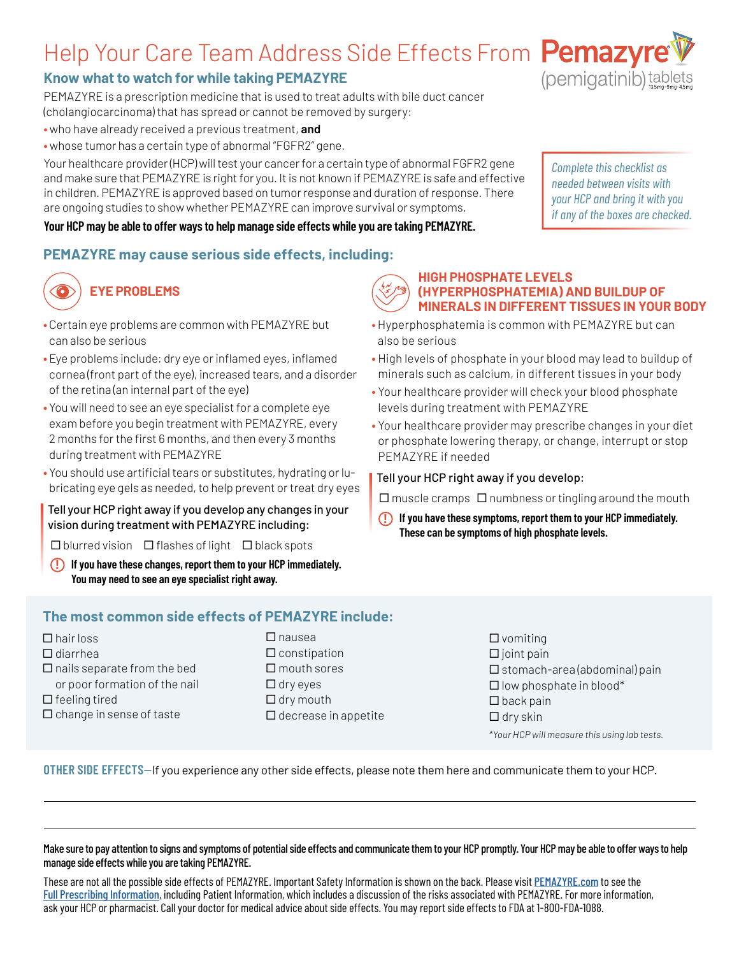# Help Your Care Team Address Side Effects From Pemazyre

# **Know what to watch for while taking PEMAZYRE**

PEMAZYRE is a prescription medicine that is used to treat adults with bile duct cancer

- (cholangiocarcinoma) that has spread or cannot be removed by surgery:
- **•** who have already received a previous treatment, **and**
- **•** whose tumor has a certain type of abnormal "FGFR2" gene.

Your healthcare provider (HCP) will test your cancer for a certain type of abnormal FGFR2 gene and make sure that PEMAZYRE is right for you. It is not known if PEMAZYRE is safe and effective in children. PEMAZYRE is approved based on tumor response and duration of response. There are ongoing studies to show whether PEMAZYRE can improve survival or symptoms.

### **Your HCP may be able to offer ways to help manage side effects while you are taking PEMAZYRE.**

## **PEMAZYRE may cause serious side effects, including:**

# **EYE PROBLEMS**

- **•** Certain eye problems are common with PEMAZYRE but can also be serious
- **•** Eye problems include: dry eye or inflamed eyes, inflamed cornea (front part of the eye), increased tears, and a disorder of the retina (an internal part of the eye)
- **•** You will need to see an eye specialist for a complete eye exam before you begin treatment with PEMAZYRE, every 2 months for the first 6 months, and then every 3 months during treatment with PEMAZYRE
- **•** You should use artificial tears or substitutes, hydrating or lubricating eye gels as needed, to help prevent or treat dry eyes

### Tell your HCP right away if you develop any changes in your vision during treatment with PEMAZYRE including:

 $\square$  blurred vision  $\square$  flashes of light  $\square$  black spots

**! If you have these changes, report them to your HCP immediately. You may need to see an eye specialist right away.**

## **The most common side effects of PEMAZYRE include:**

- $\Box$  hair loss  $\Box$  diarrhea  $\Box$  nails separate from the bed or poor formation of the nail  $\Box$  feeling tired  $\square$  change in sense of taste
- $\Box$  nausea  $\square$  constipation  $\Box$  mouth sores  $\Box$  dry eyes  $\Box$  dry mouth  $\square$  decrease in appetite

### $\square$  vomiting  $\square$  joint pain  $\square$  stomach-area (abdominal) pain  $\square$  low phosphate in blood\*  $\square$  back pain  $\Box$  dry skin

*\*Your HCP will measure this using lab tests.*

### **OTHER SIDE EFFECTS**—If you experience any other side effects, please note them here and communicate them to your HCP.

#### Make sure to pay attention to signs and symptoms of potential side effects and communicate them to your HCP promptly. Your HCP may be able to offer ways to help manage side effects while you are taking PEMAZYRE.

These are not all the possible side effects of PEMAZYRE. Important Safety Information is shown on the back. Please visit **[PEMAZYRE.com](https://www.pemazyre.com/)** to see the [Full Prescribing Information](https://www.pemazyre.com/pdf/prescribing-information.pdf), including Patient Information, which includes a discussion of the risks associated with PEMAZYRE. For more information, ask your HCP or pharmacist. Call your doctor for medical advice about side effects. You may report side effects to FDA at 1-800-FDA-1088.

### **HIGH PHOSPHATE LEVELS (HYPERPHOSPHATEMIA) AND BUILDUP OF MINERALS IN DIFFERENT TISSUES IN YOUR BODY**

- **•** Hyperphosphatemia is common with PEMAZYRE but can also be serious
- **•** High levels of phosphate in your blood may lead to buildup of minerals such as calcium, in different tissues in your body
- **•** Your healthcare provider will check your blood phosphate levels during treatment with PEMAZYRE
- **•** Your healthcare provider may prescribe changes in your diet or phosphate lowering therapy, or change, interrupt or stop PEMAZYRE if needed

### Tell your HCP right away if you develop:

 $\Box$  muscle cramps  $\Box$  numbness or tingling around the mouth

 **! If you have these symptoms, report them to your HCP immediately. These can be symptoms of high phosphate levels.**





*Complete this checklist as needed between visits with your HCP and bring it with you if any of the boxes are checked.*